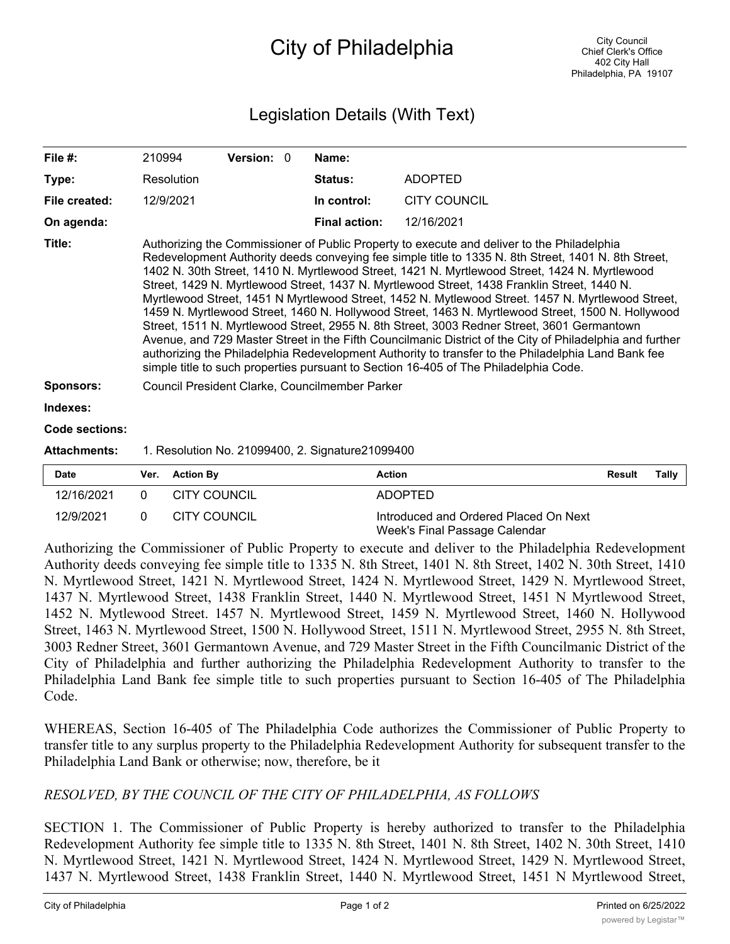## City of Philadelphia

## Legislation Details (With Text)

| File $#$ :          | 210994                                                                                                                                                                                                                                                                                                                                                                                                                                                                                                                                                                                                                                                                                                                                                                                                                                                                                                                                                                                                              |                     | Version: 0 |  | Name:                |                     |               |              |
|---------------------|---------------------------------------------------------------------------------------------------------------------------------------------------------------------------------------------------------------------------------------------------------------------------------------------------------------------------------------------------------------------------------------------------------------------------------------------------------------------------------------------------------------------------------------------------------------------------------------------------------------------------------------------------------------------------------------------------------------------------------------------------------------------------------------------------------------------------------------------------------------------------------------------------------------------------------------------------------------------------------------------------------------------|---------------------|------------|--|----------------------|---------------------|---------------|--------------|
| Type:               |                                                                                                                                                                                                                                                                                                                                                                                                                                                                                                                                                                                                                                                                                                                                                                                                                                                                                                                                                                                                                     | <b>Resolution</b>   |            |  | <b>Status:</b>       | <b>ADOPTED</b>      |               |              |
| File created:       |                                                                                                                                                                                                                                                                                                                                                                                                                                                                                                                                                                                                                                                                                                                                                                                                                                                                                                                                                                                                                     | 12/9/2021           |            |  | In control:          | <b>CITY COUNCIL</b> |               |              |
| On agenda:          |                                                                                                                                                                                                                                                                                                                                                                                                                                                                                                                                                                                                                                                                                                                                                                                                                                                                                                                                                                                                                     |                     |            |  | <b>Final action:</b> | 12/16/2021          |               |              |
| Title:              | Authorizing the Commissioner of Public Property to execute and deliver to the Philadelphia<br>Redevelopment Authority deeds conveying fee simple title to 1335 N. 8th Street, 1401 N. 8th Street,<br>1402 N. 30th Street, 1410 N. Myrtlewood Street, 1421 N. Myrtlewood Street, 1424 N. Myrtlewood<br>Street, 1429 N. Myrtlewood Street, 1437 N. Myrtlewood Street, 1438 Franklin Street, 1440 N.<br>Myrtlewood Street, 1451 N Myrtlewood Street, 1452 N. Mytlewood Street. 1457 N. Myrtlewood Street,<br>1459 N. Myrtlewood Street, 1460 N. Hollywood Street, 1463 N. Myrtlewood Street, 1500 N. Hollywood<br>Street, 1511 N. Myrtlewood Street, 2955 N. 8th Street, 3003 Redner Street, 3601 Germantown<br>Avenue, and 729 Master Street in the Fifth Councilmanic District of the City of Philadelphia and further<br>authorizing the Philadelphia Redevelopment Authority to transfer to the Philadelphia Land Bank fee<br>simple title to such properties pursuant to Section 16-405 of The Philadelphia Code. |                     |            |  |                      |                     |               |              |
| <b>Sponsors:</b>    | Council President Clarke, Councilmember Parker                                                                                                                                                                                                                                                                                                                                                                                                                                                                                                                                                                                                                                                                                                                                                                                                                                                                                                                                                                      |                     |            |  |                      |                     |               |              |
| Indexes:            |                                                                                                                                                                                                                                                                                                                                                                                                                                                                                                                                                                                                                                                                                                                                                                                                                                                                                                                                                                                                                     |                     |            |  |                      |                     |               |              |
| Code sections:      |                                                                                                                                                                                                                                                                                                                                                                                                                                                                                                                                                                                                                                                                                                                                                                                                                                                                                                                                                                                                                     |                     |            |  |                      |                     |               |              |
| <b>Attachments:</b> | 1. Resolution No. 21099400, 2. Signature 21099400                                                                                                                                                                                                                                                                                                                                                                                                                                                                                                                                                                                                                                                                                                                                                                                                                                                                                                                                                                   |                     |            |  |                      |                     |               |              |
| <b>Date</b>         | Ver.                                                                                                                                                                                                                                                                                                                                                                                                                                                                                                                                                                                                                                                                                                                                                                                                                                                                                                                                                                                                                | <b>Action By</b>    |            |  |                      | <b>Action</b>       | <b>Result</b> | <b>Tally</b> |
| 12/16/2021          | 0                                                                                                                                                                                                                                                                                                                                                                                                                                                                                                                                                                                                                                                                                                                                                                                                                                                                                                                                                                                                                   | <b>CITY COUNCIL</b> |            |  |                      | <b>ADOPTED</b>      |               |              |

| 12/16/2021 | CITY COUNCIL | ADOPTED                                                                |
|------------|--------------|------------------------------------------------------------------------|
| 12/9/2021  | CITY COUNCIL | Introduced and Ordered Placed On Next<br>Week's Final Passage Calendar |

Authorizing the Commissioner of Public Property to execute and deliver to the Philadelphia Redevelopment Authority deeds conveying fee simple title to 1335 N. 8th Street, 1401 N. 8th Street, 1402 N. 30th Street, 1410 N. Myrtlewood Street, 1421 N. Myrtlewood Street, 1424 N. Myrtlewood Street, 1429 N. Myrtlewood Street, 1437 N. Myrtlewood Street, 1438 Franklin Street, 1440 N. Myrtlewood Street, 1451 N Myrtlewood Street, 1452 N. Mytlewood Street. 1457 N. Myrtlewood Street, 1459 N. Myrtlewood Street, 1460 N. Hollywood Street, 1463 N. Myrtlewood Street, 1500 N. Hollywood Street, 1511 N. Myrtlewood Street, 2955 N. 8th Street, 3003 Redner Street, 3601 Germantown Avenue, and 729 Master Street in the Fifth Councilmanic District of the City of Philadelphia and further authorizing the Philadelphia Redevelopment Authority to transfer to the Philadelphia Land Bank fee simple title to such properties pursuant to Section 16-405 of The Philadelphia Code.

WHEREAS, Section 16-405 of The Philadelphia Code authorizes the Commissioner of Public Property to transfer title to any surplus property to the Philadelphia Redevelopment Authority for subsequent transfer to the Philadelphia Land Bank or otherwise; now, therefore, be it

## *RESOLVED, BY THE COUNCIL OF THE CITY OF PHILADELPHIA, AS FOLLOWS*

SECTION 1. The Commissioner of Public Property is hereby authorized to transfer to the Philadelphia Redevelopment Authority fee simple title to 1335 N. 8th Street, 1401 N. 8th Street, 1402 N. 30th Street, 1410 N. Myrtlewood Street, 1421 N. Myrtlewood Street, 1424 N. Myrtlewood Street, 1429 N. Myrtlewood Street, 1437 N. Myrtlewood Street, 1438 Franklin Street, 1440 N. Myrtlewood Street, 1451 N Myrtlewood Street,